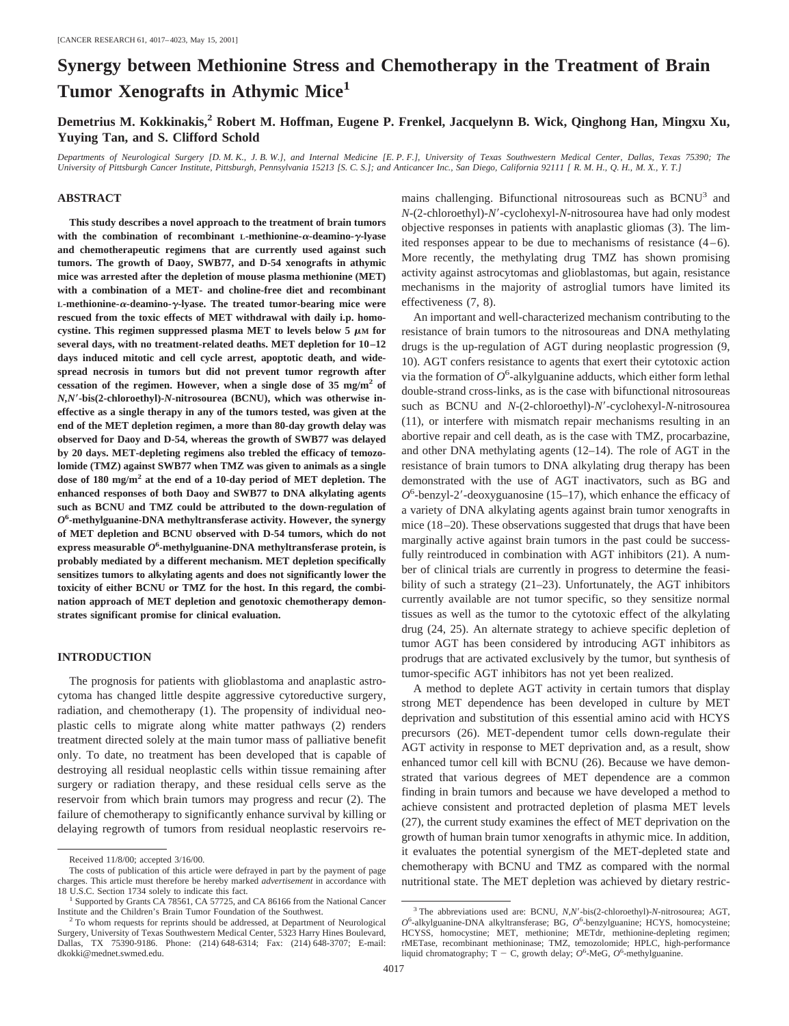# **Synergy between Methionine Stress and Chemotherapy in the Treatment of Brain Tumor Xenografts in Athymic Mice<sup>1</sup>**

**Demetrius M. Kokkinakis,2 Robert M. Hoffman, Eugene P. Frenkel, Jacquelynn B. Wick, Qinghong Han, Mingxu Xu, Yuying Tan, and S. Clifford Schold**

*Departments of Neurological Surgery [D. M. K., J. B. W.], and Internal Medicine [E. P. F.], University of Texas Southwestern Medical Center, Dallas, Texas 75390; The University of Pittsburgh Cancer Institute, Pittsburgh, Pennsylvania 15213 [S. C. S.]; and Anticancer Inc., San Diego, California 92111 [ R. M. H., Q. H., M. X., Y. T.]*

## **ABSTRACT**

**This study describes a novel approach to the treatment of brain tumors with the combination of recombinant L-methionine-**a**-deamino-**g**-lyase and chemotherapeutic regimens that are currently used against such tumors. The growth of Daoy, SWB77, and D-54 xenografts in athymic mice was arrested after the depletion of mouse plasma methionine (MET) with a combination of a MET- and choline-free diet and recombinant L-methionine-**a**-deamino-**g**-lyase. The treated tumor-bearing mice were rescued from the toxic effects of MET withdrawal with daily i.p. homo**cystine. This regimen suppressed plasma MET to levels below  $5 \mu M$  for **several days, with no treatment-related deaths. MET depletion for 10–12 days induced mitotic and cell cycle arrest, apoptotic death, and widespread necrosis in tumors but did not prevent tumor regrowth after cessation of the regimen. However, when a single dose of 35 mg/m<sup>2</sup> of** *N,N*\***-bis(2-chloroethyl)-***N***-nitrosourea (BCNU), which was otherwise ineffective as a single therapy in any of the tumors tested, was given at the end of the MET depletion regimen, a more than 80-day growth delay was observed for Daoy and D-54, whereas the growth of SWB77 was delayed by 20 days. MET-depleting regimens also trebled the efficacy of temozolomide (TMZ) against SWB77 when TMZ was given to animals as a single dose of 180 mg/m2 at the end of a 10-day period of MET depletion. The enhanced responses of both Daoy and SWB77 to DNA alkylating agents such as BCNU and TMZ could be attributed to the down-regulation of** *O***6 -methylguanine-DNA methyltransferase activity. However, the synergy of MET depletion and BCNU observed with D-54 tumors, which do not express measurable** *O***<sup>6</sup> -methylguanine-DNA methyltransferase protein, is probably mediated by a different mechanism. MET depletion specifically sensitizes tumors to alkylating agents and does not significantly lower the toxicity of either BCNU or TMZ for the host. In this regard, the combination approach of MET depletion and genotoxic chemotherapy demonstrates significant promise for clinical evaluation.**

#### **INTRODUCTION**

The prognosis for patients with glioblastoma and anaplastic astrocytoma has changed little despite aggressive cytoreductive surgery, radiation, and chemotherapy (1). The propensity of individual neoplastic cells to migrate along white matter pathways (2) renders treatment directed solely at the main tumor mass of palliative benefit only. To date, no treatment has been developed that is capable of destroying all residual neoplastic cells within tissue remaining after surgery or radiation therapy, and these residual cells serve as the reservoir from which brain tumors may progress and recur (2). The failure of chemotherapy to significantly enhance survival by killing or delaying regrowth of tumors from residual neoplastic reservoirs remains challenging. Bifunctional nitrosoureas such as BCNU<sup>3</sup> and *N*-(2-chloroethyl)-*N*9-cyclohexyl-*N*-nitrosourea have had only modest objective responses in patients with anaplastic gliomas (3). The limited responses appear to be due to mechanisms of resistance (4–6). More recently, the methylating drug TMZ has shown promising activity against astrocytomas and glioblastomas, but again, resistance mechanisms in the majority of astroglial tumors have limited its effectiveness (7, 8).

An important and well-characterized mechanism contributing to the resistance of brain tumors to the nitrosoureas and DNA methylating drugs is the up-regulation of AGT during neoplastic progression (9, 10). AGT confers resistance to agents that exert their cytotoxic action via the formation of  $O^6$ -alkylguanine adducts, which either form lethal double-strand cross-links, as is the case with bifunctional nitrosoureas such as BCNU and *N*-(2-chloroethyl)-*N'*-cyclohexyl-*N*-nitrosourea (11), or interfere with mismatch repair mechanisms resulting in an abortive repair and cell death, as is the case with TMZ, procarbazine, and other DNA methylating agents (12–14). The role of AGT in the resistance of brain tumors to DNA alkylating drug therapy has been demonstrated with the use of AGT inactivators, such as BG and  $O^6$ -benzyl-2'-deoxyguanosine (15–17), which enhance the efficacy of a variety of DNA alkylating agents against brain tumor xenografts in mice (18–20). These observations suggested that drugs that have been marginally active against brain tumors in the past could be successfully reintroduced in combination with AGT inhibitors (21). A number of clinical trials are currently in progress to determine the feasibility of such a strategy (21–23). Unfortunately, the AGT inhibitors currently available are not tumor specific, so they sensitize normal tissues as well as the tumor to the cytotoxic effect of the alkylating drug (24, 25). An alternate strategy to achieve specific depletion of tumor AGT has been considered by introducing AGT inhibitors as prodrugs that are activated exclusively by the tumor, but synthesis of tumor-specific AGT inhibitors has not yet been realized.

A method to deplete AGT activity in certain tumors that display strong MET dependence has been developed in culture by MET deprivation and substitution of this essential amino acid with HCYS precursors (26). MET-dependent tumor cells down-regulate their AGT activity in response to MET deprivation and, as a result, show enhanced tumor cell kill with BCNU (26). Because we have demonstrated that various degrees of MET dependence are a common finding in brain tumors and because we have developed a method to achieve consistent and protracted depletion of plasma MET levels (27), the current study examines the effect of MET deprivation on the growth of human brain tumor xenografts in athymic mice. In addition, it evaluates the potential synergism of the MET-depleted state and chemotherapy with BCNU and TMZ as compared with the normal nutritional state. The MET depletion was achieved by dietary restric-

Received 11/8/00; accepted 3/16/00.

The costs of publication of this article were defrayed in part by the payment of page charges. This article must therefore be hereby marked *advertisement* in accordance with

<sup>18</sup> U.S.C. Section 1734 solely to indicate this fact.<br><sup>1</sup> Supported by Grants CA 78561, CA 57725, and CA 86166 from the National Cancer Institute and the Children's Brain Tumor Foundation of the Southwest.

 $2$  To whom requests for reprints should be addressed, at Department of Neurological Surgery, University of Texas Southwestern Medical Center, 5323 Harry Hines Boulevard, TX 75390-9186. Phone: (214) 648-6314; Fax: (214) 648-3707; E-mail: dkokki@mednet.swmed.edu.

<sup>&</sup>lt;sup>3</sup> The abbreviations used are: BCNU, *N,N'*-bis(2-chloroethyl)-*N*-nitrosourea; AGT, *O*6 -alkylguanine-DNA alkyltransferase; BG, *O*<sup>6</sup> -benzylguanine; HCYS, homocysteine; HCYSS, homocystine; MET, methionine; METdr, methionine-depleting regimen; rMETase, recombinant methioninase; TMZ, temozolomide; HPLC, high-performance liquid chromatography; T - C, growth delay;  $O^6$ -MeG,  $O^6$ -methylguanine.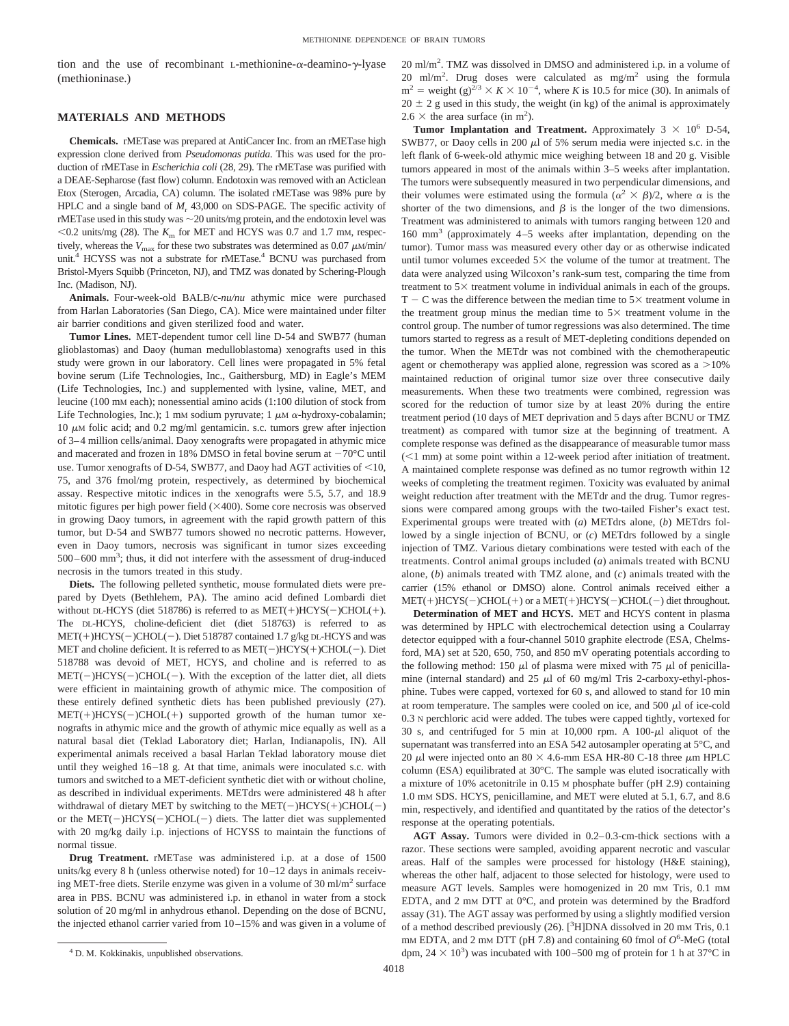tion and the use of recombinant L-methionine- $\alpha$ -deamino- $\gamma$ -lyase (methioninase.)

# **MATERIALS AND METHODS**

**Chemicals.** rMETase was prepared at AntiCancer Inc. from an rMETase high expression clone derived from *Pseudomonas putida*. This was used for the production of rMETase in *Escherichia coli* (28, 29). The rMETase was purified with a DEAE-Sepharose (fast flow) column. Endotoxin was removed with an Acticlean Etox (Sterogen, Arcadia, CA) column. The isolated rMETase was 98% pure by HPLC and a single band of  $M_r$  43,000 on SDS-PAGE. The specific activity of rMETase used in this study was  $\sim$  20 units/mg protein, and the endotoxin level was  $<$  0.2 units/mg (28). The  $K<sub>m</sub>$  for MET and HCYS was 0.7 and 1.7 mM, respectively, whereas the  $V_{\text{max}}$  for these two substrates was determined as 0.07  $\mu$ M/min/ unit.<sup>4</sup> HCYSS was not a substrate for rMETase.<sup>4</sup> BCNU was purchased from Bristol-Myers Squibb (Princeton, NJ), and TMZ was donated by Schering-Plough Inc. (Madison, NJ).

**Animals.** Four-week-old BALB/c-*nu/nu* athymic mice were purchased from Harlan Laboratories (San Diego, CA). Mice were maintained under filter air barrier conditions and given sterilized food and water.

**Tumor Lines.** MET-dependent tumor cell line D-54 and SWB77 (human glioblastomas) and Daoy (human medulloblastoma) xenografts used in this study were grown in our laboratory. Cell lines were propagated in 5% fetal bovine serum (Life Technologies, Inc., Gaithersburg, MD) in Eagle's MEM (Life Technologies, Inc.) and supplemented with lysine, valine, MET, and leucine (100 mM each); nonessential amino acids (1:100 dilution of stock from Life Technologies, Inc.); 1 mM sodium pyruvate; 1  $\mu$ M  $\alpha$ -hydroxy-cobalamin; 10  $\mu$ M folic acid; and 0.2 mg/ml gentamicin. s.c. tumors grew after injection of 3–4 million cells/animal. Daoy xenografts were propagated in athymic mice and macerated and frozen in 18% DMSO in fetal bovine serum at  $-70^{\circ}$ C until use. Tumor xenografts of D-54, SWB77, and Daoy had AGT activities of  $<$ 10, 75, and 376 fmol/mg protein, respectively, as determined by biochemical assay. Respective mitotic indices in the xenografts were 5.5, 5.7, and 18.9 mitotic figures per high power field  $(\times 400)$ . Some core necrosis was observed in growing Daoy tumors, in agreement with the rapid growth pattern of this tumor, but D-54 and SWB77 tumors showed no necrotic patterns. However, even in Daoy tumors, necrosis was significant in tumor sizes exceeding 500–600 mm3 ; thus, it did not interfere with the assessment of drug-induced necrosis in the tumors treated in this study.

**Diets.** The following pelleted synthetic, mouse formulated diets were prepared by Dyets (Bethlehem, PA). The amino acid defined Lombardi diet without DL-HCYS (diet 518786) is referred to as  $MET(+)HCYS(-)CHOL(+)$ . The DL-HCYS, choline-deficient diet (diet 518763) is referred to as  $MET(+)HCYS(-)CHOL(-)$ . Diet 518787 contained 1.7 g/kg DL-HCYS and was MET and choline deficient. It is referred to as  $MET(-)HCYS(+)CHOL(-)$ . Diet 518788 was devoid of MET, HCYS, and choline and is referred to as  $MET(-)HCYS(-)CHOL(-)$ . With the exception of the latter diet, all diets were efficient in maintaining growth of athymic mice. The composition of these entirely defined synthetic diets has been published previously (27).  $MET(+)HCYS(-)CHOL(+)$  supported growth of the human tumor xenografts in athymic mice and the growth of athymic mice equally as well as a natural basal diet (Teklad Laboratory diet; Harlan, Indianapolis, IN). All experimental animals received a basal Harlan Teklad laboratory mouse diet until they weighed 16–18 g. At that time, animals were inoculated s.c. with tumors and switched to a MET-deficient synthetic diet with or without choline, as described in individual experiments. METdrs were administered 48 h after withdrawal of dietary MET by switching to the MET( $-)HCYS(+)CHOL(-)$ or the  $MET(-)HCYS(-)CHOL(-)$  diets. The latter diet was supplemented with 20 mg/kg daily i.p. injections of HCYSS to maintain the functions of normal tissue.

**Drug Treatment.** rMETase was administered i.p. at a dose of 1500 units/kg every 8 h (unless otherwise noted) for 10–12 days in animals receiving MET-free diets. Sterile enzyme was given in a volume of 30 ml/m2 surface area in PBS. BCNU was administered i.p. in ethanol in water from a stock solution of 20 mg/ml in anhydrous ethanol. Depending on the dose of BCNU, the injected ethanol carrier varied from 10–15% and was given in a volume of

20 ml/m<sup>2</sup> . TMZ was dissolved in DMSO and administered i.p. in a volume of 20 ml/m<sup>2</sup>. Drug doses were calculated as mg/m<sup>2</sup> using the formula  $m^2$  = weight (g)<sup>2/3</sup> × *K* × 10<sup>-4</sup>, where *K* is 10.5 for mice (30). In animals of  $20 \pm 2$  g used in this study, the weight (in kg) of the animal is approximately  $2.6 \times$  the area surface (in m<sup>2</sup>).

**Tumor Implantation and Treatment.** Approximately  $3 \times 10^6$  D-54, SWB77, or Daoy cells in 200  $\mu$ l of 5% serum media were injected s.c. in the left flank of 6-week-old athymic mice weighing between 18 and 20 g. Visible tumors appeared in most of the animals within 3–5 weeks after implantation. The tumors were subsequently measured in two perpendicular dimensions, and their volumes were estimated using the formula ( $\alpha^2 \times \beta$ )/2, where  $\alpha$  is the shorter of the two dimensions, and  $\beta$  is the longer of the two dimensions. Treatment was administered to animals with tumors ranging between 120 and 160 mm3 (approximately 4–5 weeks after implantation, depending on the tumor). Tumor mass was measured every other day or as otherwise indicated until tumor volumes exceeded  $5\times$  the volume of the tumor at treatment. The data were analyzed using Wilcoxon's rank-sum test, comparing the time from treatment to  $5\times$  treatment volume in individual animals in each of the groups.  $T - C$  was the difference between the median time to  $5 \times$  treatment volume in the treatment group minus the median time to  $5\times$  treatment volume in the control group. The number of tumor regressions was also determined. The time tumors started to regress as a result of MET-depleting conditions depended on the tumor. When the METdr was not combined with the chemotherapeutic agent or chemotherapy was applied alone, regression was scored as a  $>10\%$ maintained reduction of original tumor size over three consecutive daily measurements. When these two treatments were combined, regression was scored for the reduction of tumor size by at least 20% during the entire treatment period (10 days of MET deprivation and 5 days after BCNU or TMZ treatment) as compared with tumor size at the beginning of treatment. A complete response was defined as the disappearance of measurable tumor mass  $(<1$  mm) at some point within a 12-week period after initiation of treatment. A maintained complete response was defined as no tumor regrowth within 12 weeks of completing the treatment regimen. Toxicity was evaluated by animal weight reduction after treatment with the METdr and the drug. Tumor regressions were compared among groups with the two-tailed Fisher's exact test. Experimental groups were treated with (*a*) METdrs alone, (*b*) METdrs followed by a single injection of BCNU, or (*c*) METdrs followed by a single injection of TMZ. Various dietary combinations were tested with each of the treatments. Control animal groups included (*a*) animals treated with BCNU alone, (*b*) animals treated with TMZ alone, and (*c*) animals treated with the carrier (15% ethanol or DMSO) alone. Control animals received either a  $MET(+)HCYS(-)CHOL(+)$  or a  $MET(+)HCYS(-)CHOL(-)$  diet throughout.

**Determination of MET and HCYS.** MET and HCYS content in plasma was determined by HPLC with electrochemical detection using a Coularray detector equipped with a four-channel 5010 graphite electrode (ESA, Chelmsford, MA) set at 520, 650, 750, and 850 mV operating potentials according to the following method: 150  $\mu$ l of plasma were mixed with 75  $\mu$ l of penicillamine (internal standard) and 25  $\mu$ l of 60 mg/ml Tris 2-carboxy-ethyl-phosphine. Tubes were capped, vortexed for 60 s, and allowed to stand for 10 min at room temperature. The samples were cooled on ice, and 500  $\mu$ l of ice-cold 0.3 N perchloric acid were added. The tubes were capped tightly, vortexed for 30 s, and centrifuged for 5 min at 10,000 rpm. A  $100-\mu$ l aliquot of the supernatant was transferred into an ESA 542 autosampler operating at 5°C, and 20  $\mu$ l were injected onto an 80  $\times$  4.6-mm ESA HR-80 C-18 three  $\mu$ m HPLC column (ESA) equilibrated at 30°C. The sample was eluted isocratically with a mixture of 10% acetonitrile in 0.15 M phosphate buffer (pH 2.9) containing 1.0 mM SDS. HCYS, penicillamine, and MET were eluted at 5.1, 6.7, and 8.6 min, respectively, and identified and quantitated by the ratios of the detector's response at the operating potentials.

**AGT Assay.** Tumors were divided in 0.2–0.3-cm-thick sections with a razor. These sections were sampled, avoiding apparent necrotic and vascular areas. Half of the samples were processed for histology (H&E staining), whereas the other half, adjacent to those selected for histology, were used to measure AGT levels. Samples were homogenized in 20 mM Tris, 0.1 mM EDTA, and 2 mM DTT at 0°C, and protein was determined by the Bradford assay (31). The AGT assay was performed by using a slightly modified version of a method described previously (26). [<sup>3</sup>H]DNA dissolved in 20 mm Tris, 0.1 mM EDTA, and 2 mM DTT (pH 7.8) and containing 60 fmol of  $O^6$ -MeG (total <sup>4</sup> D. M. Kokkinakis, unpublished observations.  $\text{dpm}$ ,  $24 \times 10^3$  was incubated with 100–500 mg of protein for 1 h at 37°C in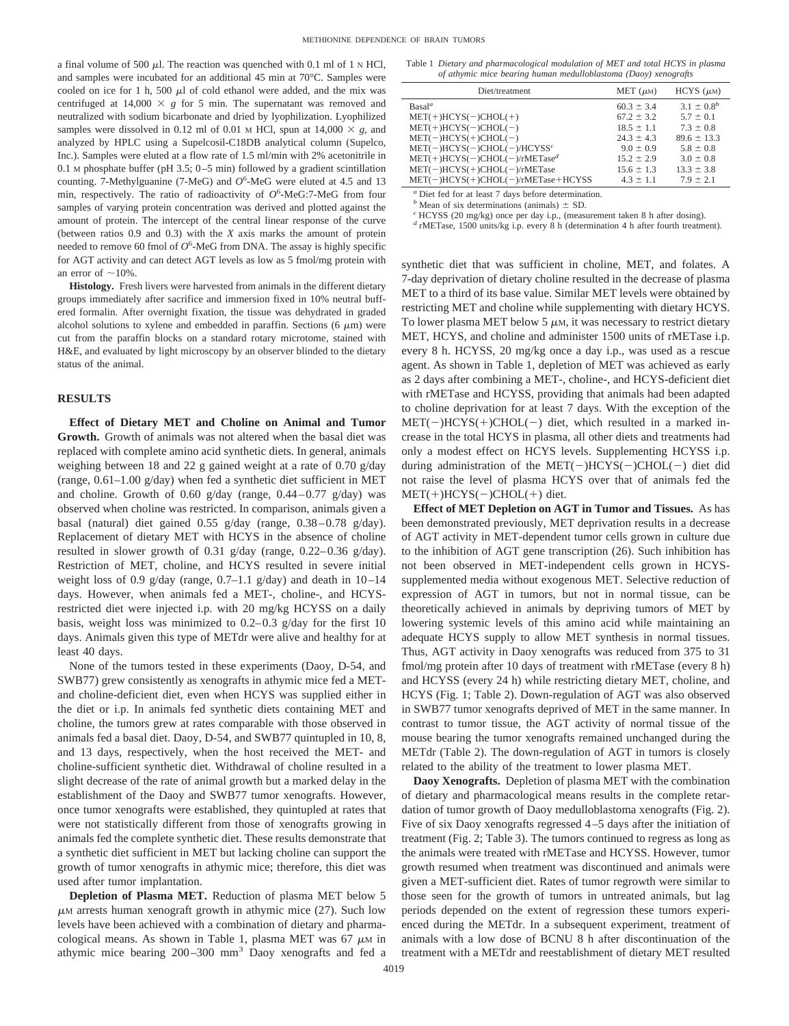a final volume of 500  $\mu$ l. The reaction was quenched with 0.1 ml of 1 N HCl, and samples were incubated for an additional 45 min at 70°C. Samples were cooled on ice for 1 h, 500  $\mu$ l of cold ethanol were added, and the mix was centrifuged at  $14,000 \times g$  for 5 min. The supernatant was removed and neutralized with sodium bicarbonate and dried by lyophilization. Lyophilized samples were dissolved in 0.12 ml of 0.01 M HCl, spun at  $14,000 \times g$ , and analyzed by HPLC using a Supelcosil-C18DB analytical column (Supelco, Inc.). Samples were eluted at a flow rate of 1.5 ml/min with 2% acetonitrile in 0.1 M phosphate buffer (pH 3.5; 0–5 min) followed by a gradient scintillation counting. 7-Methylguanine (7-MeG) and  $O^6$ -MeG were eluted at 4.5 and 13 min, respectively. The ratio of radioactivity of  $O^6$ -MeG:7-MeG from four samples of varying protein concentration was derived and plotted against the amount of protein. The intercept of the central linear response of the curve (between ratios 0.9 and 0.3) with the *X* axis marks the amount of protein needed to remove 60 fmol of  $O^6$ -MeG from DNA. The assay is highly specific for AGT activity and can detect AGT levels as low as 5 fmol/mg protein with an error of  $\sim$ 10%.

**Histology.** Fresh livers were harvested from animals in the different dietary groups immediately after sacrifice and immersion fixed in 10% neutral buffered formalin. After overnight fixation, the tissue was dehydrated in graded alcohol solutions to xylene and embedded in paraffin. Sections  $(6 \mu m)$  were cut from the paraffin blocks on a standard rotary microtome, stained with H&E, and evaluated by light microscopy by an observer blinded to the dietary status of the animal.

#### **RESULTS**

**Effect of Dietary MET and Choline on Animal and Tumor Growth.** Growth of animals was not altered when the basal diet was replaced with complete amino acid synthetic diets. In general, animals weighing between 18 and 22 g gained weight at a rate of 0.70 g/day (range, 0.61–1.00 g/day) when fed a synthetic diet sufficient in MET and choline. Growth of  $0.60$  g/day (range,  $0.44 - 0.77$  g/day) was observed when choline was restricted. In comparison, animals given a basal (natural) diet gained 0.55 g/day (range, 0.38–0.78 g/day). Replacement of dietary MET with HCYS in the absence of choline resulted in slower growth of 0.31 g/day (range, 0.22–0.36 g/day). Restriction of MET, choline, and HCYS resulted in severe initial weight loss of 0.9 g/day (range, 0.7–1.1 g/day) and death in 10–14 days. However, when animals fed a MET-, choline-, and HCYSrestricted diet were injected i.p. with 20 mg/kg HCYSS on a daily basis, weight loss was minimized to 0.2–0.3 g/day for the first 10 days. Animals given this type of METdr were alive and healthy for at least 40 days.

None of the tumors tested in these experiments (Daoy, D-54, and SWB77) grew consistently as xenografts in athymic mice fed a METand choline-deficient diet, even when HCYS was supplied either in the diet or i.p. In animals fed synthetic diets containing MET and choline, the tumors grew at rates comparable with those observed in animals fed a basal diet. Daoy, D-54, and SWB77 quintupled in 10, 8, and 13 days, respectively, when the host received the MET- and choline-sufficient synthetic diet. Withdrawal of choline resulted in a slight decrease of the rate of animal growth but a marked delay in the establishment of the Daoy and SWB77 tumor xenografts. However, once tumor xenografts were established, they quintupled at rates that were not statistically different from those of xenografts growing in animals fed the complete synthetic diet. These results demonstrate that a synthetic diet sufficient in MET but lacking choline can support the growth of tumor xenografts in athymic mice; therefore, this diet was used after tumor implantation.

**Depletion of Plasma MET.** Reduction of plasma MET below 5  $\mu$ M arrests human xenograft growth in athymic mice (27). Such low levels have been achieved with a combination of dietary and pharmacological means. As shown in Table 1, plasma MET was 67  $\mu$ M in athymic mice bearing  $200-300$  mm<sup>3</sup> Daoy xenografts and fed a

Table 1 *Dietary and pharmacological modulation of MET and total HCYS in plasma of athymic mice bearing human medulloblastoma (Daoy) xenografts*

| Diet/treatment                       | MET $(\mu M)$  | $HCYS (\mu M)$    |
|--------------------------------------|----------------|-------------------|
| Basal <sup>a</sup>                   | $60.3 \pm 3.4$ | $3.1 \pm 0.8^{b}$ |
| $MET(+)HCYS(-)CHOL(+)$               | $67.2 \pm 3.2$ | $5.7 \pm 0.1$     |
| $MET(+)HCYS(-)CHOL(-)$               | $18.5 \pm 1.1$ | $7.3 \pm 0.8$     |
| $MET(-)HCYS(+)CHOL(-)$               | $24.3 \pm 4.3$ | $89.6 \pm 13.3$   |
| $MET(-)HCYS(-)CHOL(-)/HCYSSc$        | $9.0 \pm 0.9$  | $5.8 \pm 0.8$     |
| $MET(+)HCYS(-)CHOL(-)/rMETased$      | $15.2 \pm 2.9$ | $3.0 \pm 0.8$     |
| $MET(-)HCYS(+)CHOL(-)/rMETase$       | $15.6 \pm 1.3$ | $13.3 \pm 3.8$    |
| $MET(-)HCYS(+)CHOL(-)/rMETase+HCYSS$ | $4.3 \pm 1.1$  | $7.9 \pm 2.1$     |
|                                      |                |                   |

*<sup>a</sup>* Diet fed for at least 7 days before determination.

<sup>b</sup> Mean of six determinations (animals)  $\pm$  SD.<br><sup>c</sup> HCYSS (20 mg/kg) once per day i.p., (measurement taken 8 h after dosing).<br><sup>d</sup> rMETase, 1500 units/kg i.p. every 8 h (determination 4 h after fourth treatment).

synthetic diet that was sufficient in choline, MET, and folates. A 7-day deprivation of dietary choline resulted in the decrease of plasma MET to a third of its base value. Similar MET levels were obtained by restricting MET and choline while supplementing with dietary HCYS. To lower plasma MET below 5  $\mu$ M, it was necessary to restrict dietary MET, HCYS, and choline and administer 1500 units of rMETase i.p. every 8 h. HCYSS, 20 mg/kg once a day i.p., was used as a rescue agent. As shown in Table 1, depletion of MET was achieved as early as 2 days after combining a MET-, choline-, and HCYS-deficient diet with rMETase and HCYSS, providing that animals had been adapted to choline deprivation for at least 7 days. With the exception of the  $MET(-)HCYS(+)CHOL(-)$  diet, which resulted in a marked increase in the total HCYS in plasma, all other diets and treatments had only a modest effect on HCYS levels. Supplementing HCYSS i.p. during administration of the MET(-)HCYS(-)CHOL(-) diet did not raise the level of plasma HCYS over that of animals fed the  $MET(+)HCYS(-)CHOL(+)$  diet.

**Effect of MET Depletion on AGT in Tumor and Tissues.** As has been demonstrated previously, MET deprivation results in a decrease of AGT activity in MET-dependent tumor cells grown in culture due to the inhibition of AGT gene transcription (26). Such inhibition has not been observed in MET-independent cells grown in HCYSsupplemented media without exogenous MET. Selective reduction of expression of AGT in tumors, but not in normal tissue, can be theoretically achieved in animals by depriving tumors of MET by lowering systemic levels of this amino acid while maintaining an adequate HCYS supply to allow MET synthesis in normal tissues. Thus, AGT activity in Daoy xenografts was reduced from 375 to 31 fmol/mg protein after 10 days of treatment with rMETase (every 8 h) and HCYSS (every 24 h) while restricting dietary MET, choline, and HCYS (Fig. 1; Table 2). Down-regulation of AGT was also observed in SWB77 tumor xenografts deprived of MET in the same manner. In contrast to tumor tissue, the AGT activity of normal tissue of the mouse bearing the tumor xenografts remained unchanged during the METdr (Table 2). The down-regulation of AGT in tumors is closely related to the ability of the treatment to lower plasma MET.

**Daoy Xenografts.** Depletion of plasma MET with the combination of dietary and pharmacological means results in the complete retardation of tumor growth of Daoy medulloblastoma xenografts (Fig. 2). Five of six Daoy xenografts regressed 4–5 days after the initiation of treatment (Fig. 2; Table 3). The tumors continued to regress as long as the animals were treated with rMETase and HCYSS. However, tumor growth resumed when treatment was discontinued and animals were given a MET-sufficient diet. Rates of tumor regrowth were similar to those seen for the growth of tumors in untreated animals, but lag periods depended on the extent of regression these tumors experienced during the METdr. In a subsequent experiment, treatment of animals with a low dose of BCNU 8 h after discontinuation of the treatment with a METdr and reestablishment of dietary MET resulted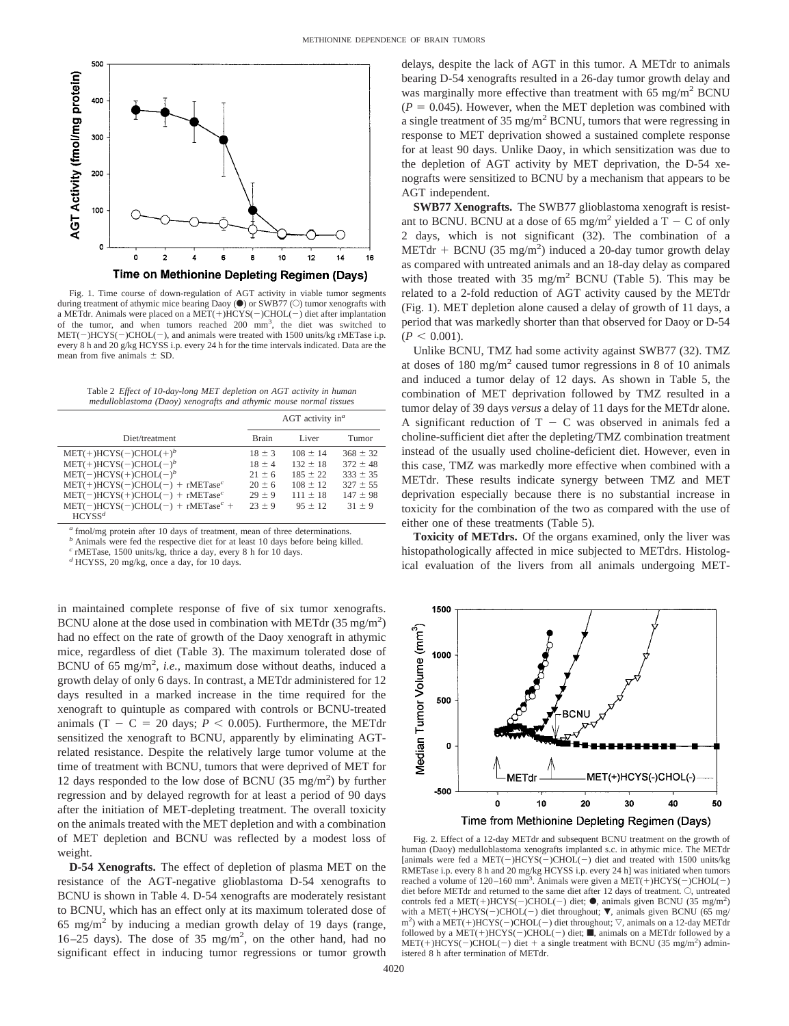

Fig. 1. Time course of down-regulation of AGT activity in viable tumor segments during treatment of athymic mice bearing Daoy ( $\bullet$ ) or SWB77 ( $\circlearrowright$ ) tumor xenografts with a METdr. Animals were placed on a MET(+)HCYS(-)CHOL(-) diet after implantation of the tumor, and when tumors reached 200 mm<sup>3</sup>, the diet was switched to  $MET(-)HCYS(-)CHOL(-)$ , and animals were treated with 1500 units/kg rMETase i.p. every 8 h and 20 g/kg HCYSS i.p. every 24 h for the time intervals indicated. Data are the mean from five animals  $\pm$  SD.

Table 2 *Effect of 10-day-long MET depletion on AGT activity in human medulloblastoma (Daoy) xenografts and athymic mouse normal tissues*

|                                     | AGT activity in <sup><math>a</math></sup> |              |              |  |  |
|-------------------------------------|-------------------------------------------|--------------|--------------|--|--|
| Diet/treatment                      | <b>Brain</b>                              | Liver        | Tumor        |  |  |
| $MET(+)HCYS(-)CHOL(+)$ <sup>b</sup> | $18 \pm 3$                                | $108 \pm 14$ | $368 \pm 32$ |  |  |
| $MET(+)HCYS(-)CHOL(-)b$             | $18 \pm 4$                                | $132 \pm 18$ | $372 \pm 48$ |  |  |
| $MET(-)HCYS(+)CHOL(-)b$             | $21 + 6$                                  | $185 \pm 22$ | $333 \pm 35$ |  |  |
| $MET(+)HCYS(-)CHOL(-) + rMETasec$   | $20 \pm 6$                                | $108 \pm 12$ | $327 \pm 55$ |  |  |
| $MET(-)HCYS(+)CHOL(-) + rMETasec$   | $29 \pm 9$                                | $111 + 18$   | $147 \pm 98$ |  |  |
| $MET(-)HCYS(-)CHOL(-) + rMETasec +$ | $23 + 9$                                  | $95 \pm 12$  | $31 + 9$     |  |  |
| HCYSS <sup>d</sup>                  |                                           |              |              |  |  |

*<sup>a</sup>* fmol/mg protein after 10 days of treatment, mean of three determinations.

*b* Animals were fed the respective diet for at least 10 days before being killed.

*<sup>c</sup>* rMETase, 1500 units/kg, thrice a day, every 8 h for 10 days. *<sup>d</sup>* HCYSS, 20 mg/kg, once a day, for 10 days.

in maintained complete response of five of six tumor xenografts. BCNU alone at the dose used in combination with METdr  $(35 \text{ mg/m}^2)$ had no effect on the rate of growth of the Daoy xenograft in athymic mice, regardless of diet (Table 3). The maximum tolerated dose of BCNU of 65 mg/m<sup>2</sup>, *i.e.*, maximum dose without deaths, induced a growth delay of only 6 days. In contrast, a METdr administered for 12 days resulted in a marked increase in the time required for the xenograft to quintuple as compared with controls or BCNU-treated animals  $(T - C = 20$  days;  $P < 0.005$ ). Furthermore, the METdr sensitized the xenograft to BCNU, apparently by eliminating AGTrelated resistance. Despite the relatively large tumor volume at the time of treatment with BCNU, tumors that were deprived of MET for 12 days responded to the low dose of BCNU  $(35 \text{ mg/m}^2)$  by further regression and by delayed regrowth for at least a period of 90 days after the initiation of MET-depleting treatment. The overall toxicity on the animals treated with the MET depletion and with a combination of MET depletion and BCNU was reflected by a modest loss of weight.

**D-54 Xenografts.** The effect of depletion of plasma MET on the resistance of the AGT-negative glioblastoma D-54 xenografts to BCNU is shown in Table 4. D-54 xenografts are moderately resistant to BCNU, which has an effect only at its maximum tolerated dose of  $65 \text{ mg/m}^2$  by inducing a median growth delay of 19 days (range,  $16-25$  days). The dose of  $35$  mg/m<sup>2</sup>, on the other hand, had no significant effect in inducing tumor regressions or tumor growth delays, despite the lack of AGT in this tumor. A METdr to animals bearing D-54 xenografts resulted in a 26-day tumor growth delay and was marginally more effective than treatment with  $65 \text{ mg/m}^2$  BCNU  $(P = 0.045)$ . However, when the MET depletion was combined with a single treatment of  $35 \text{ mg/m}^2$  BCNU, tumors that were regressing in response to MET deprivation showed a sustained complete response for at least 90 days. Unlike Daoy, in which sensitization was due to the depletion of AGT activity by MET deprivation, the D-54 xenografts were sensitized to BCNU by a mechanism that appears to be AGT independent.

**SWB77 Xenografts.** The SWB77 glioblastoma xenograft is resistant to BCNU. BCNU at a dose of 65 mg/m<sup>2</sup> yielded a T – C of only 2 days, which is not significant (32). The combination of a METdr + BCNU (35 mg/m<sup>2</sup>) induced a 20-day tumor growth delay as compared with untreated animals and an 18-day delay as compared with those treated with  $35 \text{ mg/m}^2$  BCNU (Table 5). This may be related to a 2-fold reduction of AGT activity caused by the METdr (Fig. 1). MET depletion alone caused a delay of growth of 11 days, a period that was markedly shorter than that observed for Daoy or D-54  $(P < 0.001)$ .

Unlike BCNU, TMZ had some activity against SWB77 (32). TMZ at doses of  $180 \text{ mg/m}^2$  caused tumor regressions in 8 of 10 animals and induced a tumor delay of 12 days. As shown in Table 5, the combination of MET deprivation followed by TMZ resulted in a tumor delay of 39 days *versus* a delay of 11 days for the METdr alone. A significant reduction of  $T - C$  was observed in animals fed a choline-sufficient diet after the depleting/TMZ combination treatment instead of the usually used choline-deficient diet. However, even in this case, TMZ was markedly more effective when combined with a METdr. These results indicate synergy between TMZ and MET deprivation especially because there is no substantial increase in toxicity for the combination of the two as compared with the use of either one of these treatments (Table 5).

**Toxicity of METdrs.** Of the organs examined, only the liver was histopathologically affected in mice subjected to METdrs. Histological evaluation of the livers from all animals undergoing MET-



Fig. 2. Effect of a 12-day METdr and subsequent BCNU treatment on the growth of human (Daoy) medulloblastoma xenografts implanted s.c. in athymic mice. The METdr [animals were fed a MET(-)HCYS(-)CHOL(-) diet and treated with 1500 units/kg RMETase i.p. every 8 h and 20 mg/kg HCYSS i.p. every 24 h] was initiated when tumors reached a volume of  $120-160$  mm<sup>3</sup>. Animals were given a MET(+)HCYS(-)CHOL(-) diet before METdr and returned to the same diet after 12 days of treatment. O, untreated controls fed a MET(+)HCYS(-)CHOL(-) diet;  $\bullet$ , animals given BCNU (35 mg/m<sup>2</sup>) with a MET(+)HCYS(-)CHOL(-) diet throughout;  $\nabla$ , animals given BCNU (65 mg/  $m<sup>2</sup>$ ) with a MET(+)HCYS(-)CHOL(-) diet throughout;  $\nabla$ , animals on a 12-day METdr followed by a  $MET(+)HCYS(-)CHOL(-)$  diet; **ii**, animals on a METdr followed by a  $MET(+)HCYS(-)CHOL(-)$  diet + a single treatment with BCNU (35 mg/m<sup>2</sup>) administered 8 h after termination of METdr.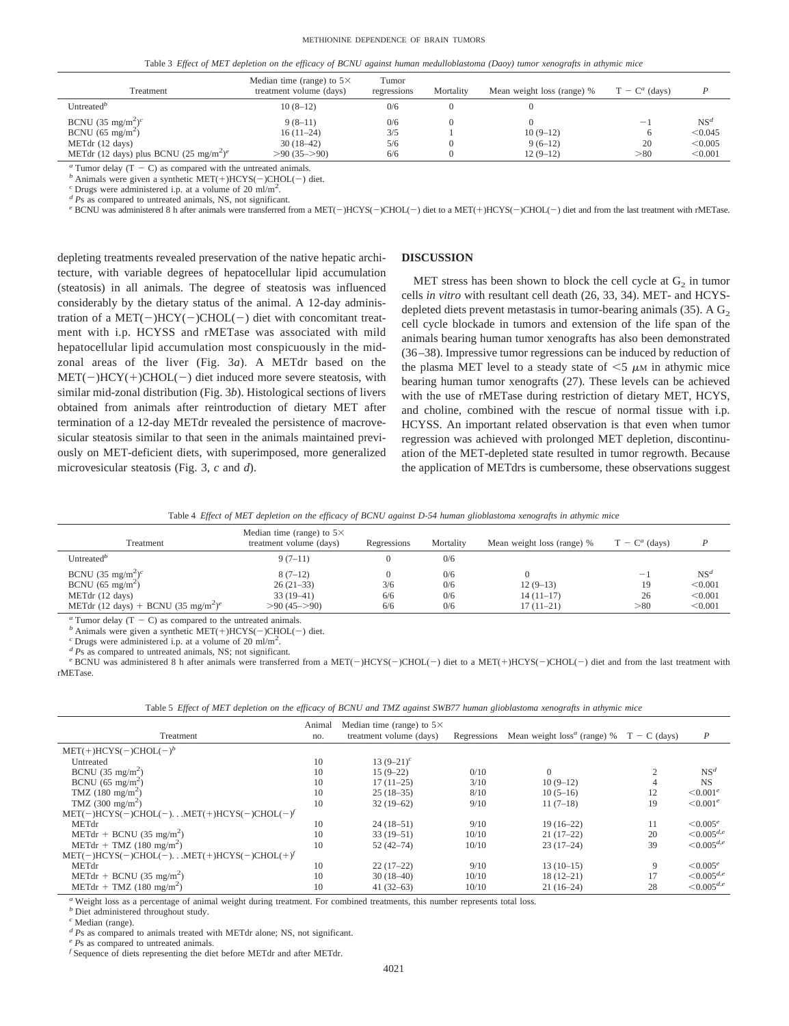#### METHIONINE DEPENDENCE OF BRAIN TUMORS

|  |  |  |  |  |  | Table 3 Effect of MET depletion on the efficacy of BCNU against human medulloblastoma (Daoy) tumor xenografts in athymic mice |  |  |  |  |  |
|--|--|--|--|--|--|-------------------------------------------------------------------------------------------------------------------------------|--|--|--|--|--|
|--|--|--|--|--|--|-------------------------------------------------------------------------------------------------------------------------------|--|--|--|--|--|

| Treatment                                                      | Median time (range) to $5\times$<br>treatment volume (days) | Tumor<br>regressions | Mortality | Mean weight loss (range) % | $T - C^a$ (days) | D               |
|----------------------------------------------------------------|-------------------------------------------------------------|----------------------|-----------|----------------------------|------------------|-----------------|
| Untreated <sup>b</sup>                                         | $10(8-12)$                                                  | 0/6                  |           |                            |                  |                 |
| BCNU (35 mg/m <sup>2</sup> ) <sup>c</sup>                      | $9(8-11)$                                                   | 0/6                  |           |                            | $\sim$           | NS <sup>d</sup> |
| BCNU (65 mg/m <sup>2</sup> )                                   | $16(11-24)$                                                 | 3/5                  |           | $10(9-12)$                 | 6                | < 0.045         |
| METdr (12 days)                                                | $30(18-42)$                                                 | 5/6                  |           | $9(6-12)$                  | 20               | < 0.005         |
| METdr (12 days) plus BCNU (25 mg/m <sup>2</sup> ) <sup>e</sup> | $>90(35->90)$                                               | 6/6                  |           | $12(9-12)$                 | >80              | < 0.001         |

<sup>*a*</sup> Tumor delay (T - C) as compared with the untreated animals. *<sup><i>c*</sup> Drugs were given a synthetic MET(+)HCYS(-)CHOL(-) diet. *<sup><i>c*</sup> Drugs were administered i.p. at a volume of 20 ml/m<sup>2</sup>. *d* Ps as compared to untre

e BCNU was administered 8 h after animals were transferred from a MET(-)HCYS(-)CHOL(-) diet to a MET(+)HCYS(-)CHOL(-) diet and from the last treatment with rMETase.

depleting treatments revealed preservation of the native hepatic architecture, with variable degrees of hepatocellular lipid accumulation (steatosis) in all animals. The degree of steatosis was influenced considerably by the dietary status of the animal. A 12-day administration of a  $MET(-)HCY(-)CHOL(-)$  diet with concomitant treatment with i.p. HCYSS and rMETase was associated with mild hepatocellular lipid accumulation most conspicuously in the midzonal areas of the liver (Fig. 3*a*). A METdr based on the  $MET(-)HCY(+)CHOL(-)$  diet induced more severe steatosis, with similar mid-zonal distribution (Fig. 3*b*). Histological sections of livers obtained from animals after reintroduction of dietary MET after termination of a 12-day METdr revealed the persistence of macrovesicular steatosis similar to that seen in the animals maintained previously on MET-deficient diets, with superimposed, more generalized microvesicular steatosis (Fig. 3, *c* and *d*).

# **DISCUSSION**

MET stress has been shown to block the cell cycle at  $G<sub>2</sub>$  in tumor cells *in vitro* with resultant cell death (26, 33, 34). MET- and HCYSdepleted diets prevent metastasis in tumor-bearing animals  $(35)$ . A  $G<sub>2</sub>$ cell cycle blockade in tumors and extension of the life span of the animals bearing human tumor xenografts has also been demonstrated (36–38). Impressive tumor regressions can be induced by reduction of the plasma MET level to a steady state of  $\leq$  5  $\mu$ M in athymic mice bearing human tumor xenografts (27). These levels can be achieved with the use of rMETase during restriction of dietary MET, HCYS, and choline, combined with the rescue of normal tissue with i.p. HCYSS. An important related observation is that even when tumor regression was achieved with prolonged MET depletion, discontinuation of the MET-depleted state resulted in tumor regrowth. Because the application of METdrs is cumbersome, these observations suggest

|  |  | Table 4 Effect of MET depletion on the efficacy of BCNU against D-54 human glioblastoma xenografts in athymic mice |
|--|--|--------------------------------------------------------------------------------------------------------------------|
|  |  |                                                                                                                    |

| Treatment                                                   | Median time (range) to $5\times$<br>treatment volume (days) | Regressions | Mortality | Mean weight loss (range) % | $T - C^a$ (days) | D               |
|-------------------------------------------------------------|-------------------------------------------------------------|-------------|-----------|----------------------------|------------------|-----------------|
| Untreated <sup>b</sup>                                      | $9(7-11)$                                                   |             | 0/6       |                            |                  |                 |
| BCNU (35 mg/m <sup>2</sup> ) <sup>c</sup>                   | $8(7-12)$                                                   |             | 0/6       |                            | -                | NS <sup>d</sup> |
| BCNU $(65 \text{ mg/m}^2)$                                  | $26(21-33)$                                                 | 3/6         | 0/6       | $12(9-13)$                 | 19               | < 0.001         |
| METdr (12 days)                                             | $33(19-41)$                                                 | 6/6         | 0/6       | $14(11-17)$                | 26               | < 0.001         |
| METdr (12 days) + BCNU (35 mg/m <sup>2</sup> ) <sup>e</sup> | $>90(45->90)$                                               | 6/6         | 0/6       | $17(11-21)$                | > 80             | < 0.001         |

<sup>*b*</sup> Animals were given a synthetic MET(+)HCYS(-)CHOL(-) diet. *c* Drugs were administered i.p. at a volume of 20 ml/m<sup>2</sup>.<br>*c* Drugs were administered i.p. at a volume of 20 ml/m<sup>2</sup>.<br>*d P*s as compared to untreated ani

e BCNU was administered 8 h after animals were transferred from a MET(-)HCYS(-)CHOL(-) diet to a MET(+)HCYS(-)CHOL(-) diet and from the last treatment with rMETase.

|  | Table 5 Effect of MET depletion on the efficacy of BCNU and TMZ against SWB77 human glioblastoma xenografts in athymic mice |  |  |  |  |
|--|-----------------------------------------------------------------------------------------------------------------------------|--|--|--|--|
|  |                                                                                                                             |  |  |  |  |

| Treatment                                                  | Animal<br>no. | Median time (range) to $5\times$<br>treatment volume (days) | Regressions | Mean weight $loss^a$ (range) % $T - C$ (days) |                | $\boldsymbol{P}$   |
|------------------------------------------------------------|---------------|-------------------------------------------------------------|-------------|-----------------------------------------------|----------------|--------------------|
| $MET(+)HCYS(-)CHOL(-)b$                                    |               |                                                             |             |                                               |                |                    |
| Untreated                                                  | 10            | 13 $(9-21)^c$                                               |             |                                               |                |                    |
| BCNU $(35 \text{ mg/m}^2)$                                 | 10            | $15(9-22)$                                                  | 0/10        | $\Omega$                                      | $\overline{c}$ | NS <sup>d</sup>    |
| BCNU (65 mg/m <sup>2</sup> )                               | 10            | $17(11-25)$                                                 | 3/10        | $10(9-12)$                                    | 4              | <b>NS</b>          |
| TMZ $(180 \text{ mg/m}^2)$                                 | 10            | $25(18-35)$                                                 | 8/10        | $10(5-16)$                                    | 12             | $\leq 0.001^e$     |
| TMZ $(300 \text{ mg/m}^2)$                                 | 10            | $32(19-62)$                                                 | 9/10        | $11(7-18)$                                    | 19             | $\leq 0.001^e$     |
| $MET(-)HCYS(-)CHOL(-)$ $MET(+)HCYS(-)CHOL(-)'$             |               |                                                             |             |                                               |                |                    |
| METdr                                                      | 10            | $24(18-51)$                                                 | 9/10        | $19(16-22)$                                   | 11             | $\leq 0.005^e$     |
| METdr + BCNU (35 mg/m <sup>2</sup> )                       | 10            | $33(19-51)$                                                 | 10/10       | $21(17-22)$                                   | 20             | $\leq 0.005^{d,e}$ |
| METdr + TMZ $(180 \text{ mg/m}^2)$                         | 10            | $52(42-74)$                                                 | 10/10       | $23(17-24)$                                   | 39             | $\leq 0.005^{d,e}$ |
| $MET(-)HCYS(-)CHOL(-)$ $MET(+)HCYS(-)CHOL(+)$ <sup>t</sup> |               |                                                             |             |                                               |                |                    |
| METdr                                                      | 10            | $22(17-22)$                                                 | 9/10        | $13(10-15)$                                   | 9              | $\leq 0.005e$      |
| METdr + BCNU $(35 \text{ mg/m}^2)$                         | 10            | $30(18-40)$                                                 | 10/10       | $18(12-21)$                                   | 17             | $\leq 0.005^{d,e}$ |
| METdr + TMZ $(180 \text{ mg/m}^2)$                         | 10            | $41(32-63)$                                                 | 10/10       | $21(16-24)$                                   | 28             | $\leq 0.005^{d,e}$ |

*<sup>a</sup>* Weight loss as a percentage of animal weight during treatment. For combined treatments, this number represents total loss.

*<sup>b</sup>* Diet administered throughout study.

*<sup>c</sup>* Median (range).

*d Ps* as compared to animals treated with METdr alone; NS, not significant. *e Ps* as compared to untreated animals.

 $f$  Sequence of diets representing the diet before METdr and after METdr.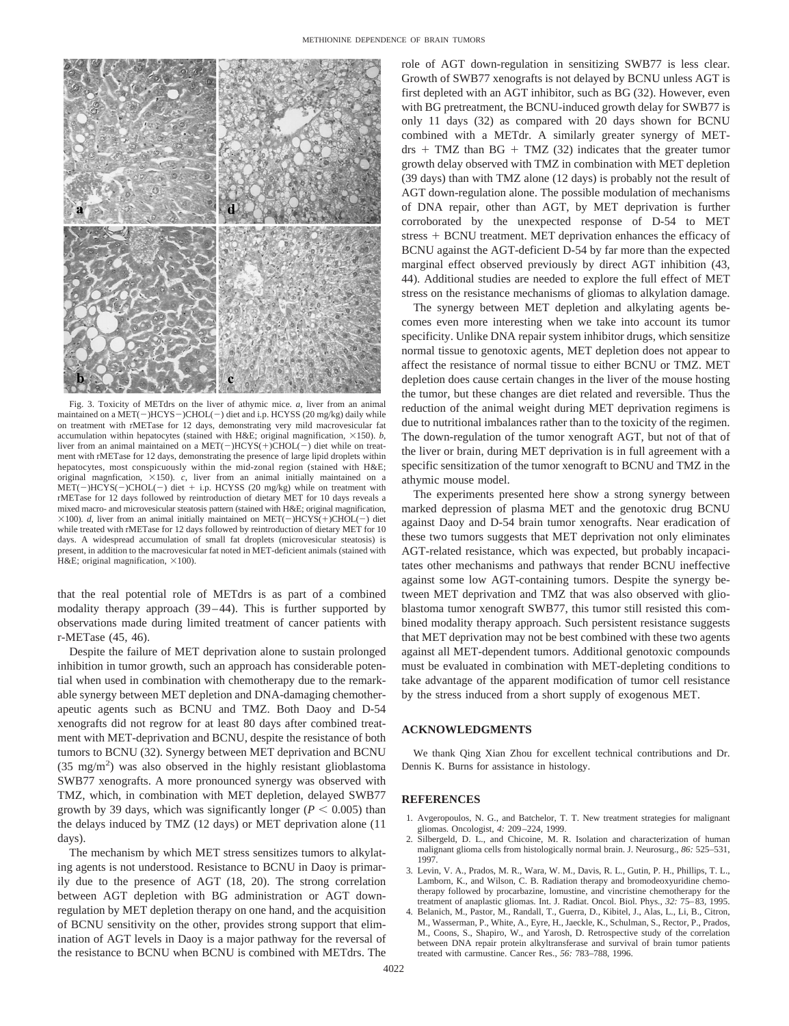

Fig. 3. Toxicity of METdrs on the liver of athymic mice. *a*, liver from an animal maintained on a  $\text{MET}(-)\text{HCYS}-\text{)CHOL}(-)$  diet and i.p. HCYSS (20 mg/kg) daily while on treatment with rMETase for 12 days, demonstrating very mild macrovesicular fat accumulation within hepatocytes (stained with H&E; original magnification,  $\times$ 150). *b*, liver from an animal maintained on a  $MET(-)HCYS(+)CHOL(-)$  diet while on treatment with rMETase for 12 days, demonstrating the presence of large lipid droplets within hepatocytes, most conspicuously within the mid-zonal region (stained with H&E; original magnfication,  $\times$ 150).  $c$ , liver from an animal initially maintained on a  $MET(-)HCYS(-)CHOL(-)$  diet + i.p. HCYSS (20 mg/kg) while on treatment with rMETase for 12 days followed by reintroduction of dietary MET for 10 days reveals a mixed macro- and microvesicular steatosis pattern (stained with H&E; original magnification,  $\times$ 100). *d*, liver from an animal initially maintained on MET(-)HCYS(+)CHOL(-) diet while treated with rMETase for 12 days followed by reintroduction of dietary MET for 10 days. A widespread accumulation of small fat droplets (microvesicular steatosis) is present, in addition to the macrovesicular fat noted in MET-deficient animals (stained with H&E; original magnification,  $\times 100$ ).

that the real potential role of METdrs is as part of a combined modality therapy approach (39–44). This is further supported by observations made during limited treatment of cancer patients with r-METase (45, 46).

Despite the failure of MET deprivation alone to sustain prolonged inhibition in tumor growth, such an approach has considerable potential when used in combination with chemotherapy due to the remarkable synergy between MET depletion and DNA-damaging chemotherapeutic agents such as BCNU and TMZ. Both Daoy and D-54 xenografts did not regrow for at least 80 days after combined treatment with MET-deprivation and BCNU, despite the resistance of both tumors to BCNU (32). Synergy between MET deprivation and BCNU (35 mg/m<sup>2</sup>) was also observed in the highly resistant glioblastoma SWB77 xenografts. A more pronounced synergy was observed with TMZ, which, in combination with MET depletion, delayed SWB77 growth by 39 days, which was significantly longer ( $P < 0.005$ ) than the delays induced by TMZ (12 days) or MET deprivation alone (11 days).

The mechanism by which MET stress sensitizes tumors to alkylating agents is not understood. Resistance to BCNU in Daoy is primarily due to the presence of AGT (18, 20). The strong correlation between AGT depletion with BG administration or AGT downregulation by MET depletion therapy on one hand, and the acquisition of BCNU sensitivity on the other, provides strong support that elimination of AGT levels in Daoy is a major pathway for the reversal of the resistance to BCNU when BCNU is combined with METdrs. The role of AGT down-regulation in sensitizing SWB77 is less clear. Growth of SWB77 xenografts is not delayed by BCNU unless AGT is first depleted with an AGT inhibitor, such as BG (32). However, even with BG pretreatment, the BCNU-induced growth delay for SWB77 is only 11 days (32) as compared with 20 days shown for BCNU combined with a METdr. A similarly greater synergy of MET- $\text{d} \text{r}$  + TMZ than BG + TMZ (32) indicates that the greater tumor growth delay observed with TMZ in combination with MET depletion (39 days) than with TMZ alone (12 days) is probably not the result of AGT down-regulation alone. The possible modulation of mechanisms of DNA repair, other than AGT, by MET deprivation is further corroborated by the unexpected response of D-54 to MET  $stress + BCNU treatment. MET deprivation enhances the efficacy of$ BCNU against the AGT-deficient D-54 by far more than the expected marginal effect observed previously by direct AGT inhibition (43, 44). Additional studies are needed to explore the full effect of MET stress on the resistance mechanisms of gliomas to alkylation damage.

The synergy between MET depletion and alkylating agents becomes even more interesting when we take into account its tumor specificity. Unlike DNA repair system inhibitor drugs, which sensitize normal tissue to genotoxic agents, MET depletion does not appear to affect the resistance of normal tissue to either BCNU or TMZ. MET depletion does cause certain changes in the liver of the mouse hosting the tumor, but these changes are diet related and reversible. Thus the reduction of the animal weight during MET deprivation regimens is due to nutritional imbalances rather than to the toxicity of the regimen. The down-regulation of the tumor xenograft AGT, but not of that of the liver or brain, during MET deprivation is in full agreement with a specific sensitization of the tumor xenograft to BCNU and TMZ in the athymic mouse model.

The experiments presented here show a strong synergy between marked depression of plasma MET and the genotoxic drug BCNU against Daoy and D-54 brain tumor xenografts. Near eradication of these two tumors suggests that MET deprivation not only eliminates AGT-related resistance, which was expected, but probably incapacitates other mechanisms and pathways that render BCNU ineffective against some low AGT-containing tumors. Despite the synergy between MET deprivation and TMZ that was also observed with glioblastoma tumor xenograft SWB77, this tumor still resisted this combined modality therapy approach. Such persistent resistance suggests that MET deprivation may not be best combined with these two agents against all MET-dependent tumors. Additional genotoxic compounds must be evaluated in combination with MET-depleting conditions to take advantage of the apparent modification of tumor cell resistance by the stress induced from a short supply of exogenous MET.

## **ACKNOWLEDGMENTS**

We thank Qing Xian Zhou for excellent technical contributions and Dr. Dennis K. Burns for assistance in histology.

## **REFERENCES**

- 1. Avgeropoulos, N. G., and Batchelor, T. T. New treatment strategies for malignant gliomas. Oncologist, *4:* 209–224, 1999.
- 2. Silbergeld, D. L., and Chicoine, M. R. Isolation and characterization of human malignant glioma cells from histologically normal brain. J. Neurosurg., *86:* 525–531, 1997.
- 3. Levin, V. A., Prados, M. R., Wara, W. M., Davis, R. L., Gutin, P. H., Phillips, T. L., Lamborn, K., and Wilson, C. B. Radiation therapy and bromodeoxyuridine chemotherapy followed by procarbazine, lomustine, and vincristine chemotherapy for the treatment of anaplastic gliomas. Int. J. Radiat. Oncol. Biol. Phys., *32:* 75–83, 1995.
- 4. Belanich, M., Pastor, M., Randall, T., Guerra, D., Kibitel, J., Alas, L., Li, B., Citron, M., Wasserman, P., White, A., Eyre, H., Jaeckle, K., Schulman, S., Rector, P., Prados, M., Coons, S., Shapiro, W., and Yarosh, D. Retrospective study of the correlation between DNA repair protein alkyltransferase and survival of brain tumor patients treated with carmustine. Cancer Res., *56:* 783–788, 1996.